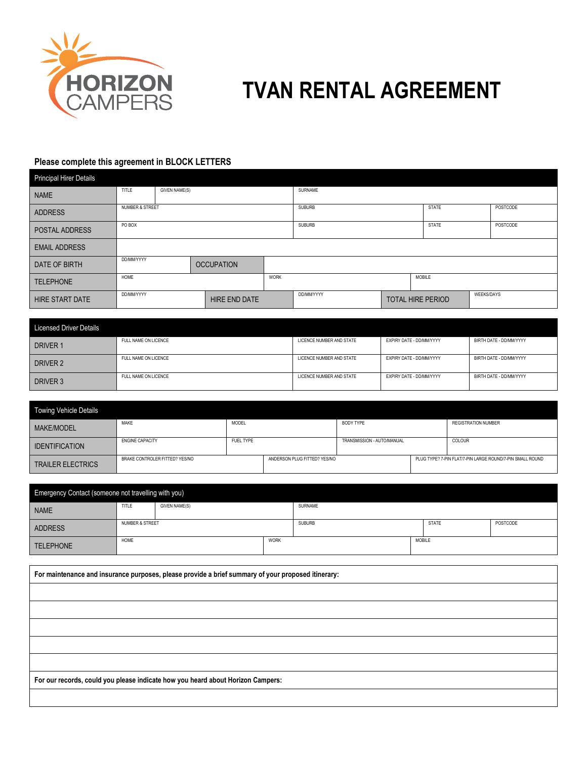

## **TVAN RENTAL AGREEMENT**

## **Please complete this agreement in BLOCK LETTERS**

| <b>Principal Hirer Details</b> |                                    |  |  |                |                               |  |                   |          |  |
|--------------------------------|------------------------------------|--|--|----------------|-------------------------------|--|-------------------|----------|--|
| <b>NAME</b>                    | TITLE<br><b>GIVEN NAME(S)</b>      |  |  | <b>SURNAME</b> |                               |  |                   |          |  |
| <b>ADDRESS</b>                 | <b>NUMBER &amp; STREET</b>         |  |  |                | <b>SUBURB</b><br><b>STATE</b> |  |                   | POSTCODE |  |
| POSTAL ADDRESS                 | PO BOX                             |  |  |                | <b>SUBURB</b><br><b>STATE</b> |  | POSTCODE          |          |  |
| <b>EMAIL ADDRESS</b>           |                                    |  |  |                |                               |  |                   |          |  |
| DATE OF BIRTH                  | DD/MM/YYYY<br><b>OCCUPATION</b>    |  |  |                |                               |  |                   |          |  |
| <b>TELEPHONE</b>               | <b>WORK</b><br>HOME                |  |  |                | MOBILE                        |  |                   |          |  |
| <b>HIRE START DATE</b>         | DD/MM/YYYY<br><b>HIRE END DATE</b> |  |  | DD/MM/YYYY     | <b>TOTAL HIRE PERIOD</b>      |  | <b>WEEKS/DAYS</b> |          |  |

| <b>Licensed Driver Details</b> |                      |                          |                          |                         |
|--------------------------------|----------------------|--------------------------|--------------------------|-------------------------|
| DRIVER 1                       | FULL NAME ON LICENCE | LICENCE NUMBER AND STATE | EXPIRY DATE - DD/MM/YYYY | BIRTH DATE - DD/MM/YYYY |
| DRIVER 2                       | FULL NAME ON LICENCE | LICENCE NUMBER AND STATE | EXPIRY DATE - DD/MM/YYYY | BIRTH DATE - DD/MM/YYYY |
| DRIVER 3                       | FULL NAME ON LICENCE | LICENCE NUMBER AND STATE | EXPIRY DATE - DD/MM/YYYY | BIRTH DATE - DD/MM/YYYY |

| Towing Vehicle Details   |                                |           |                              |                            |                                                           |
|--------------------------|--------------------------------|-----------|------------------------------|----------------------------|-----------------------------------------------------------|
| <b>MAKE/MODEL</b>        | MAKE                           | MODEL     |                              | <b>BODY TYPE</b>           | <b>REGISTRATION NUMBER</b>                                |
| <b>IDENTIFICATION</b>    | <b>ENGINE CAPACITY</b>         | FUEL TYPE |                              | TRANSMISSION - AUTO/MANUAL | COLOUR                                                    |
| <b>TRAILER ELECTRICS</b> | BRAKE CONTROLER FITTED? YES/NO |           | ANDERSON PLUG FITTED? YES/NO |                            | PLUG TYPE? 7-PIN FLAT/7-PIN LARGE ROUND/7-PIN SMALL ROUND |

| Emergency Contact (someone not travelling with you) |                            |                      |             |               |               |              |          |
|-----------------------------------------------------|----------------------------|----------------------|-------------|---------------|---------------|--------------|----------|
| <b>NAME</b>                                         | TITLE                      | <b>GIVEN NAME(S)</b> |             | SURNAME       |               |              |          |
| <b>ADDRESS</b>                                      | <b>NUMBER &amp; STREET</b> |                      |             | <b>SUBURB</b> |               | <b>STATE</b> | POSTCODE |
| <b>TELEPHONE</b>                                    | HOME                       |                      | <b>WORK</b> |               | <b>MOBILE</b> |              |          |

**For maintenance and insurance purposes, please provide a brief summary of your proposed itinerary: For our records, could you please indicate how you heard about Horizon Campers:**